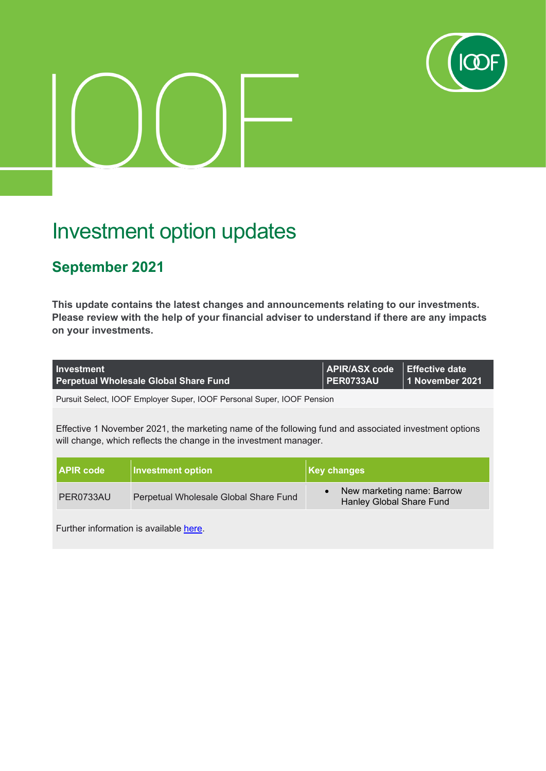

## Investment option updates

## **September 2021**

**This update contains the latest changes and announcements relating to our investments. Please review with the help of your financial adviser to understand if there are any impacts on your investments.**

| <b>Investment</b><br><b>Perpetual Wholesale Global Share Fund</b>      | APIR/ASX code Effective date<br>$\overline{P}$ PER0733AU | 11 November 2021 |
|------------------------------------------------------------------------|----------------------------------------------------------|------------------|
| Pursuit Select, IOOF Employer Super, IOOF Personal Super, IOOF Pension |                                                          |                  |

Effective 1 November 2021, the marketing name of the following fund and associated investment options will change, which reflects the change in the investment manager.

| <b>I APIR code</b> | <b>Investment option</b>              | Key changes                                            |
|--------------------|---------------------------------------|--------------------------------------------------------|
| PER0733AU          | Perpetual Wholesale Global Share Fund | New marketing name: Barrow<br>Hanley Global Share Fund |

Further information is available [here.](https://microsite.ioof.com.au/__data/assets/pdf_file/0011/443819/2021-11-01-Perpetual-Global-Share-Fund-name-change-Investor-notice.pdf)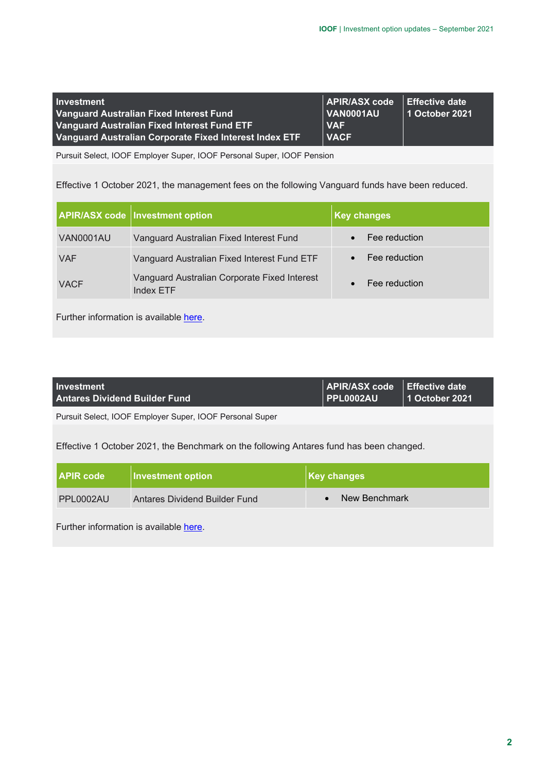| <b>Investment</b>                                      | APIR/ASX code   Effective date |                |
|--------------------------------------------------------|--------------------------------|----------------|
| Vanguard Australian Fixed Interest Fund                | VAN0001AU                      | 1 October 2021 |
| Vanguard Australian Fixed Interest Fund ETF            | <b>VAF</b>                     |                |
| Vanguard Australian Corporate Fixed Interest Index ETF | <b>VACF</b>                    |                |

Pursuit Select, IOOF Employer Super, IOOF Personal Super, IOOF Pension

Effective 1 October 2021, the management fees on the following Vanguard funds have been reduced.

|             | <b>APIR/ASX code   Investment option</b>                         | <b>Key changes</b> |
|-------------|------------------------------------------------------------------|--------------------|
| VAN0001AU   | Vanguard Australian Fixed Interest Fund                          | Fee reduction      |
| <b>VAF</b>  | Vanguard Australian Fixed Interest Fund ETF                      | Fee reduction      |
| <b>VACF</b> | Vanguard Australian Corporate Fixed Interest<br><b>Index ETF</b> | Fee reduction      |
|             |                                                                  |                    |

Further information is available [here.](https://microsite.ioof.com.au/__data/assets/pdf_file/0010/443818/2021-10-01-Vanguard-fund-and-ETFs-Investor-notice.pdf)

| <b>Investment</b><br><b>Antares Dividend Builder Fund</b>                               | <b>APIR/ASX code</b><br><b>PPL0002AU</b> | Effective date<br>  1 October 2021 |
|-----------------------------------------------------------------------------------------|------------------------------------------|------------------------------------|
| Pursuit Select, IOOF Employer Super, IOOF Personal Super                                |                                          |                                    |
| Effective 1 October 2021, the Benchmark on the following Antares fund has been changed. |                                          |                                    |

| <b>APIR code</b> | <b>Investment option</b>      | Key changes   |
|------------------|-------------------------------|---------------|
| PPL0002AU        | Antares Dividend Builder Fund | New Benchmark |
|                  |                               |               |

Further information is available [here.](https://microsite.ioof.com.au/__data/assets/pdf_file/0009/443817/2021-10-01-Antares-Dividend-Builder-SEN.pdf)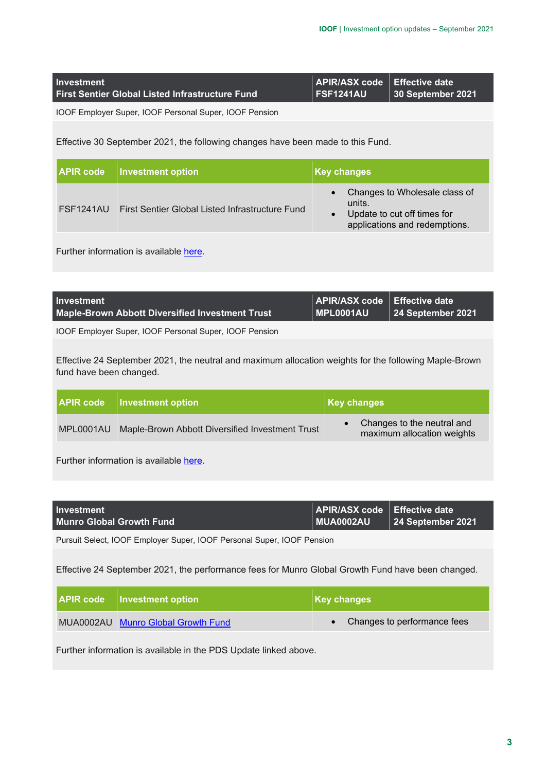| <b>Investment</b>                                      | APIR/ASX code   Effective date |                           |
|--------------------------------------------------------|--------------------------------|---------------------------|
| <b>First Sentier Global Listed Infrastructure Fund</b> | <b>FSF1241AU</b>               | $\vert$ 30 September 2021 |

IOOF Employer Super, IOOF Personal Super, IOOF Pension

Effective 30 September 2021, the following changes have been made to this Fund.

| <b>APIR code</b> | <b>Investment option</b>                               | <b>Key changes</b>                                                                                      |
|------------------|--------------------------------------------------------|---------------------------------------------------------------------------------------------------------|
| FSF1241AU        | <b>First Sentier Global Listed Infrastructure Fund</b> | Changes to Wholesale class of<br>units.<br>Update to cut off times for<br>applications and redemptions. |

Further information is available [here.](https://microsite.ioof.com.au/__data/assets/pdf_file/0008/443816/2021-09-30-First-Sentier-Global-Listed-Infrustructure-Fund-Investor-notice.pdf)

| <b>Investment</b>                               | APIR/ASX code Effective date |                   |
|-------------------------------------------------|------------------------------|-------------------|
| Maple-Brown Abbott Diversified Investment Trust | <b>MPL0001AU</b>             | 24 September 2021 |
|                                                 |                              |                   |

IOOF Employer Super, IOOF Personal Super, IOOF Pension

Effective 24 September 2021, the neutral and maximum allocation weights for the following Maple-Brown fund have been changed.

| <b>APIR code</b> | <b>Investment option</b>                        | Key changes                                              |
|------------------|-------------------------------------------------|----------------------------------------------------------|
| MPL0001AU        | Maple-Brown Abbott Diversified Investment Trust | Changes to the neutral and<br>maximum allocation weights |
|                  |                                                 |                                                          |

Further information is available [here.](https://microsite.ioof.com.au/__data/assets/pdf_file/0005/443813/2021-09-24-Maple-Brown-Abbott-Diversified-Investment-Trust-Important-Notice.pdf)

| <b>Investment</b>               | APIR/ASX code   Effective date |                           |
|---------------------------------|--------------------------------|---------------------------|
| <b>Munro Global Growth Fund</b> | $\blacksquare$ MUA0002AU       | $\vert$ 24 September 2021 |

Pursuit Select, IOOF Employer Super, IOOF Personal Super, IOOF Pension

Effective 24 September 2021, the performance fees for Munro Global Growth Fund have been changed.

| <b>APIR code</b>   Investment option | Key changes                 |
|--------------------------------------|-----------------------------|
| MUA0002AU Munro Global Growth Fund   | Changes to performance fees |

Further information is available in the PDS Update linked above.